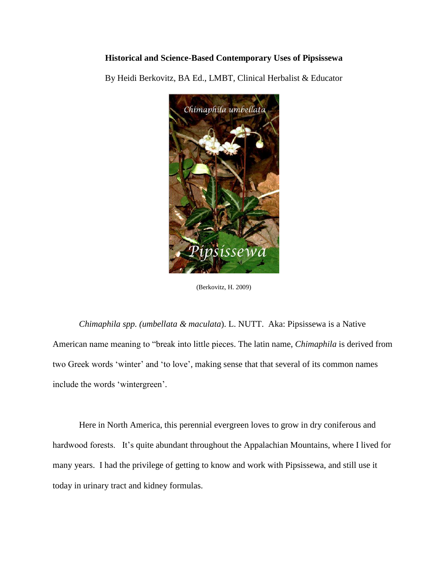## **Historical and Science-Based Contemporary Uses of Pipsissewa**

By Heidi Berkovitz, BA Ed., LMBT, Clinical Herbalist & Educator



(Berkovitz, H. 2009)

*Chimaphila spp. (umbellata & maculata*). L. NUTT. Aka: Pipsissewa is a Native American name meaning to "break into little pieces. The latin name, *Chimaphila* is derived from two Greek words 'winter' and 'to love', making sense that that several of its common names include the words 'wintergreen'.

Here in North America, this perennial evergreen loves to grow in dry coniferous and hardwood forests. It's quite abundant throughout the Appalachian Mountains, where I lived for many years. I had the privilege of getting to know and work with Pipsissewa, and still use it today in urinary tract and kidney formulas.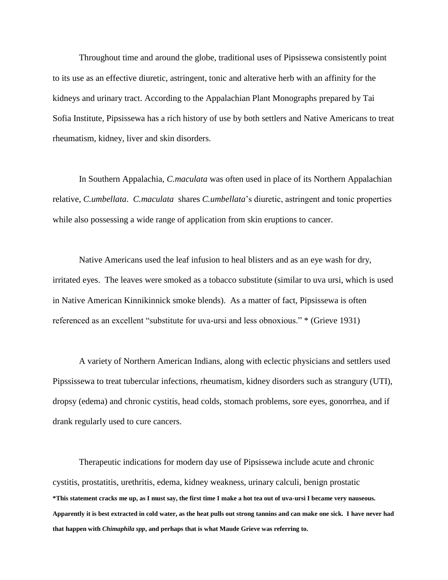Throughout time and around the globe, traditional uses of Pipsissewa consistently point to its use as an effective diuretic, astringent, tonic and alterative herb with an affinity for the kidneys and urinary tract. According to the Appalachian Plant Monographs prepared by Tai Sofia Institute, Pipsissewa has a rich history of use by both settlers and Native Americans to treat rheumatism, kidney, liver and skin disorders.

In Southern Appalachia, *C.maculata* was often used in place of its Northern Appalachian relative, *C.umbellata*. *C.maculata* shares *C.umbellata*'s diuretic, astringent and tonic properties while also possessing a wide range of application from skin eruptions to cancer.

Native Americans used the leaf infusion to heal blisters and as an eye wash for dry, irritated eyes. The leaves were smoked as a tobacco substitute (similar to uva ursi, which is used in Native American Kinnikinnick smoke blends). As a matter of fact*,* Pipsissewa is often referenced as an excellent "substitute for uva-ursi and less obnoxious." \* (Grieve 1931)

A variety of Northern American Indians, along with eclectic physicians and settlers used Pipssissewa to treat tubercular infections, rheumatism, kidney disorders such as strangury (UTI), dropsy (edema) and chronic cystitis, head colds, stomach problems, sore eyes, gonorrhea, and if drank regularly used to cure cancers.

**\*This statement cracks me up, as I must say, the first time I make a hot tea out of uva-ursi I became very nauseous. Apparently it is best extracted in cold water, as the heat pulls out strong tannins and can make one sick. I have never had that happen with** *Chimaphila spp***, and perhaps that is what Maude Grieve was referring to.** Therapeutic indications for modern day use of Pipsissewa include acute and chronic cystitis, prostatitis, urethritis, edema, kidney weakness, urinary calculi, benign prostatic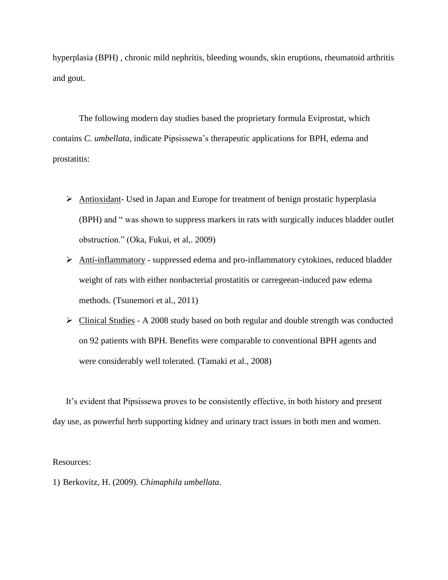hyperplasia (BPH) , chronic mild nephritis, bleeding wounds, skin eruptions, rheumatoid arthritis and gout.

The following modern day studies based the proprietary formula Eviprostat, which contains *C. umbellata,* indicate Pipsissewa's therapeutic applications for BPH, edema and prostatitis:

- Antioxidant- Used in Japan and Europe for treatment of benign prostatic hyperplasia (BPH) and " was shown to suppress markers in rats with surgically induces bladder outlet obstruction." (Oka, Fukui, et al,. 2009)
- Anti-inflammatory suppressed edema and pro-inflammatory cytokines, reduced bladder weight of rats with either nonbacterial prostatitis or carregeean-induced paw edema methods. (Tsunemori et al., 2011)
- Clinical Studies A 2008 study based on both regular and double strength was conducted on 92 patients with BPH. Benefits were comparable to conventional BPH agents and were considerably well tolerated. (Tamaki et al., 2008)

It's evident that Pipsissewa proves to be consistently effective, in both history and present day use, as powerful herb supporting kidney and urinary tract issues in both men and women.

Resources:

1) Berkovitz, H. (2009). *Chimaphila umbellata*.